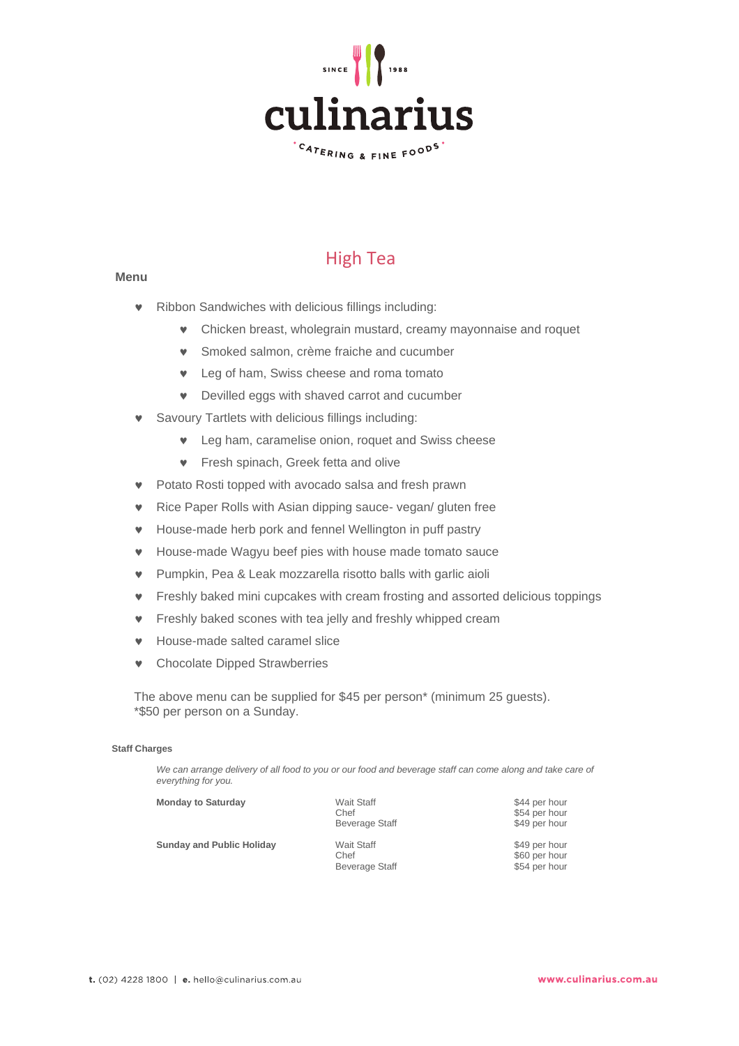

# High Tea

# **Menu**

- Ribbon Sandwiches with delicious fillings including:
	- Chicken breast, wholegrain mustard, creamy mayonnaise and roquet
	- Smoked salmon, crème fraiche and cucumber
	- **v** Leg of ham, Swiss cheese and roma tomato
	- Devilled eggs with shaved carrot and cucumber
- Savoury Tartlets with delicious fillings including:
	- Leg ham, caramelise onion, roquet and Swiss cheese
	- **v** Fresh spinach, Greek fetta and olive
- Potato Rosti topped with avocado salsa and fresh prawn
- **v** Rice Paper Rolls with Asian dipping sauce- vegan/ gluten free
- House-made herb pork and fennel Wellington in puff pastry
- House-made Wagyu beef pies with house made tomato sauce
- Pumpkin, Pea & Leak mozzarella risotto balls with garlic aioli
- Freshly baked mini cupcakes with cream frosting and assorted delicious toppings
- **•** Freshly baked scones with tea jelly and freshly whipped cream
- House-made salted caramel slice
- Chocolate Dipped Strawberries

The above menu can be supplied for \$45 per person\* (minimum 25 guests). \*\$50 per person on a Sunday.

# **Staff Charges**

*We can arrange delivery of all food to you or our food and beverage staff can come along and take care of everything for you.*

| <b>Monday to Saturday</b>        | <b>Wait Staff</b><br>Chef<br>Beverage Staff | \$44 per hour<br>\$54 per hour<br>\$49 per hour |
|----------------------------------|---------------------------------------------|-------------------------------------------------|
| <b>Sunday and Public Holiday</b> | <b>Wait Staff</b><br>Chef<br>Beverage Staff | \$49 per hour<br>\$60 per hour<br>\$54 per hour |